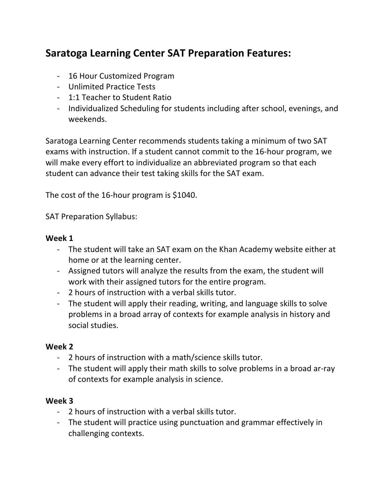# **Saratoga Learning Center SAT Preparation Features:**

- 16 Hour Customized Program
- Unlimited Practice Tests
- 1:1 Teacher to Student Ratio
- Individualized Scheduling for students including after school, evenings, and weekends.

Saratoga Learning Center recommends students taking a minimum of two SAT exams with instruction. If a student cannot commit to the 16-hour program, we will make every effort to individualize an abbreviated program so that each student can advance their test taking skills for the SAT exam.

The cost of the 16-hour program is \$1040.

SAT Preparation Syllabus:

#### **Week 1**

- The student will take an SAT exam on the Khan Academy website either at home or at the learning center.
- Assigned tutors will analyze the results from the exam, the student will work with their assigned tutors for the entire program.
- 2 hours of instruction with a verbal skills tutor.
- The student will apply their reading, writing, and language skills to solve problems in a broad array of contexts for example analysis in history and social studies.

## **Week 2**

- 2 hours of instruction with a math/science skills tutor.
- The student will apply their math skills to solve problems in a broad ar-ray of contexts for example analysis in science.

## **Week 3**

- 2 hours of instruction with a verbal skills tutor.
- The student will practice using punctuation and grammar effectively in challenging contexts.